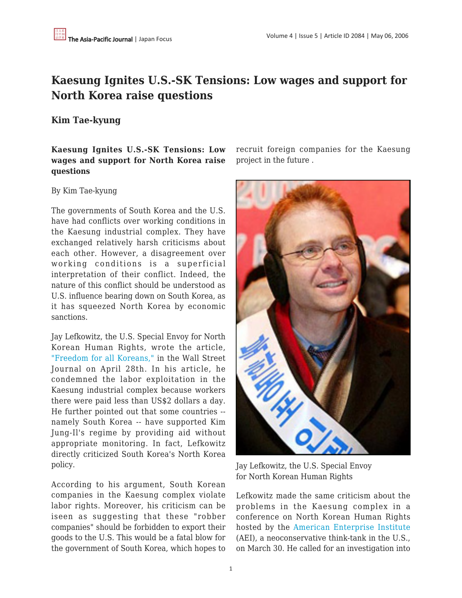# **Kaesung Ignites U.S.-SK Tensions: Low wages and support for North Korea raise questions**

## **Kim Tae-kyung**

## **Kaesung Ignites U.S.-SK Tensions: Low wages and support for North Korea raise questions**

#### By Kim Tae-kyung

The governments of South Korea and the U.S. have had conflicts over working conditions in the Kaesung industrial complex. They have exchanged relatively harsh criticisms about each other. However, a disagreement over working conditions is a superficial interpretation of their conflict. Indeed, the nature of this conflict should be understood as U.S. influence bearing down on South Korea, as it has squeezed North Korea by economic sanctions.

Jay Lefkowitz, the U.S. Special Envoy for North Korean Human Rights, wrote the article, ["Freedom for all Koreans,"](http://www.weeklystandard.com/weblogs/TWSFP/2006/04/freedom_for_all_koreans.html) in the Wall Street Journal on April 28th. In his article, he condemned the labor exploitation in the Kaesung industrial complex because workers there were paid less than US\$2 dollars a day. He further pointed out that some countries - namely South Korea -- have supported Kim Jung-Il's regime by providing aid without appropriate monitoring. In fact, Lefkowitz directly criticized South Korea's North Korea policy.

According to his argument, South Korean companies in the Kaesung complex violate labor rights. Moreover, his criticism can be iseen as suggesting that these "robber companies" should be forbidden to export their goods to the U.S. This would be a fatal blow for the government of South Korea, which hopes to recruit foreign companies for the Kaesung project in the future .



Jay Lefkowitz, the U.S. Special Envoy for North Korean Human Rights

Lefkowitz made the same criticism about the problems in the Kaesung complex in a conference on North Korean Human Rights hosted by the [American Enterprise Institute](http://www.aei.org/) (AEI), a neoconservative think-tank in the U.S., on March 30. He called for an investigation into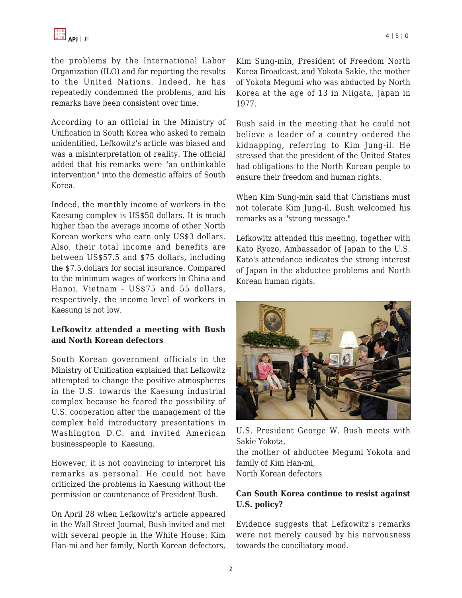the problems by the International Labor Organization (ILO) and for reporting the results to the United Nations. Indeed, he has repeatedly condemned the problems, and his remarks have been consistent over time.

According to an official in the Ministry of Unification in South Korea who asked to remain unidentified, Lefkowitz's article was biased and was a misinterpretation of reality. The official added that his remarks were "an unthinkable intervention" into the domestic affairs of South Korea.

Indeed, the monthly income of workers in the Kaesung complex is US\$50 dollars. It is much higher than the average income of other North Korean workers who earn only US\$3 dollars. Also, their total income and benefits are between US\$57.5 and \$75 dollars, including the \$7.5.dollars for social insurance. Compared to the minimum wages of workers in China and Hanoi, Vietnam - US\$75 and 55 dollars, respectively, the income level of workers in Kaesung is not low.

### **Lefkowitz attended a meeting with Bush and North Korean defectors**

South Korean government officials in the Ministry of Unification explained that Lefkowitz attempted to change the positive atmospheres in the U.S. towards the Kaesung industrial complex because he feared the possibility of U.S. cooperation after the management of the complex held introductory presentations in Washington D.C. and invited American businesspeople to Kaesung.

However, it is not convincing to interpret his remarks as personal. He could not have criticized the problems in Kaesung without the permission or countenance of President Bush.

On April 28 when Lefkowitz's article appeared in the Wall Street Journal, Bush invited and met with several people in the White House: Kim Han-mi and her family, North Korean defectors, Kim Sung-min, President of Freedom North Korea Broadcast, and Yokota Sakie, the mother of Yokota Megumi who was abducted by North Korea at the age of 13 in Niigata, Japan in 1977.

Bush said in the meeting that he could not believe a leader of a country ordered the kidnapping, referring to Kim Jung-il. He stressed that the president of the United States had obligations to the North Korean people to ensure their freedom and human rights.

When Kim Sung-min said that Christians must not tolerate Kim Jung-il, Bush welcomed his remarks as a "strong message."

Lefkowitz attended this meeting, together with Kato Ryozo, Ambassador of Japan to the U.S. Kato's attendance indicates the strong interest of Japan in the abductee problems and North Korean human rights.



U.S. President George W. Bush meets with Sakie Yokota,

the mother of abductee Megumi Yokota and family of Kim Han-mi, North Korean defectors

#### **Can South Korea continue to resist against U.S. policy?**

Evidence suggests that Lefkowitz's remarks were not merely caused by his nervousness towards the conciliatory mood.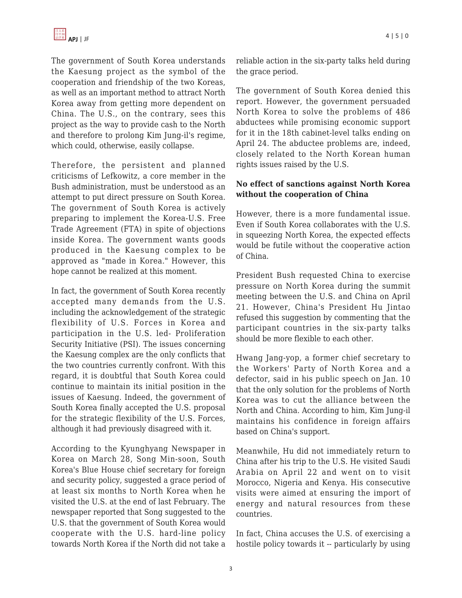The government of South Korea understands the Kaesung project as the symbol of the cooperation and friendship of the two Koreas, as well as an important method to attract North Korea away from getting more dependent on China. The U.S., on the contrary, sees this project as the way to provide cash to the North and therefore to prolong Kim Jung-il's regime, which could, otherwise, easily collapse.

Therefore, the persistent and planned criticisms of Lefkowitz, a core member in the Bush administration, must be understood as an attempt to put direct pressure on South Korea. The government of South Korea is actively preparing to implement the Korea-U.S. Free Trade Agreement (FTA) in spite of objections inside Korea. The government wants goods produced in the Kaesung complex to be approved as "made in Korea." However, this hope cannot be realized at this moment.

In fact, the government of South Korea recently accepted many demands from the U.S. including the acknowledgement of the strategic flexibility of U.S. Forces in Korea and participation in the U.S. led- Proliferation Security Initiative (PSI). The issues concerning the Kaesung complex are the only conflicts that the two countries currently confront. With this regard, it is doubtful that South Korea could continue to maintain its initial position in the issues of Kaesung. Indeed, the government of South Korea finally accepted the U.S. proposal for the strategic flexibility of the U.S. Forces, although it had previously disagreed with it.

According to the Kyunghyang Newspaper in Korea on March 28, Song Min-soon, South Korea's Blue House chief secretary for foreign and security policy, suggested a grace period of at least six months to North Korea when he visited the U.S. at the end of last February. The newspaper reported that Song suggested to the U.S. that the government of South Korea would cooperate with the U.S. hard-line policy towards North Korea if the North did not take a reliable action in the six-party talks held during the grace period.

The government of South Korea denied this report. However, the government persuaded North Korea to solve the problems of 486 abductees while promising economic support for it in the 18th cabinet-level talks ending on April 24. The abductee problems are, indeed, closely related to the North Korean human rights issues raised by the U.S.

## **No effect of sanctions against North Korea without the cooperation of China**

However, there is a more fundamental issue. Even if South Korea collaborates with the U.S. in squeezing North Korea, the expected effects would be futile without the cooperative action of China.

President Bush requested China to exercise pressure on North Korea during the summit meeting between the U.S. and China on April 21. However, China's President Hu Jintao refused this suggestion by commenting that the participant countries in the six-party talks should be more flexible to each other.

Hwang Jang-yop, a former chief secretary to the Workers' Party of North Korea and a defector, said in his public speech on Jan. 10 that the only solution for the problems of North Korea was to cut the alliance between the North and China. According to him, Kim Jung-il maintains his confidence in foreign affairs based on China's support.

Meanwhile, Hu did not immediately return to China after his trip to the U.S. He visited Saudi Arabia on April 22 and went on to visit Morocco, Nigeria and Kenya. His consecutive visits were aimed at ensuring the import of energy and natural resources from these countries.

In fact, China accuses the U.S. of exercising a hostile policy towards it -- particularly by using